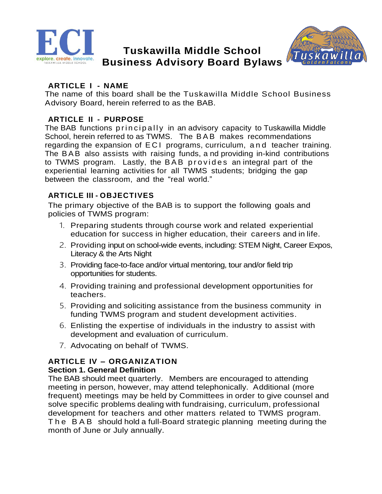

# **Tuskawilla Middle School Business Advisory Board Bylaws**



## **ARTICLE I - NAME**

The name of this board shall be the Tuskawilla Middle School Business Advisory Board, herein referred to as the BAB.

## **ARTICLE II - PURPOSE**

The BAB functions principally in an advisory capacity to Tuskawilla Middle School, herein referred to as TWMS. The BAB makes recommendations regarding the expansion of E C I programs, curriculum, a n d teacher training. The BAB also assists with raising funds, a nd providing in-kind contributions to TWMS program. Lastly, the BAB provides an integral part of the experiential learning activities for all TWMS students; bridging the gap between the classroom, and the "real world."

## **ARTICLE III - OBJECTIVES**

The primary objective of the BAB is to support the following goals and policies of TWMS program:

- 1. Preparing students through course work and related experiential education for success in higher education, their careers and in life.
- 2. Providing input on school-wide events, including: STEM Night, Career Expos, Literacy & the Arts Night
- 3. Providing face-to-face and/or virtual mentoring, tour and/or field trip opportunities for students.
- 4. Providing training and professional development opportunities for teachers.
- 5. Providing and soliciting assistance from the business community in funding TWMS program and student development activities.
- 6. Enlisting the expertise of individuals in the industry to assist with development and evaluation of curriculum.
- 7. Advocating on behalf of TWMS.

# **ARTICLE IV – ORGANIZATION**

### **Section 1. General Definition**

The BAB should meet quarterly. Members are encouraged to attending meeting in person, however, may attend telephonically. Additional (more frequent) meetings may be held by Committees in order to give counsel and solve specific problems dealing with fundraising, curriculum, professional development for teachers and other matters related to TWMS program. The BAB should hold a full-Board strategic planning meeting during the month of June or July annually.